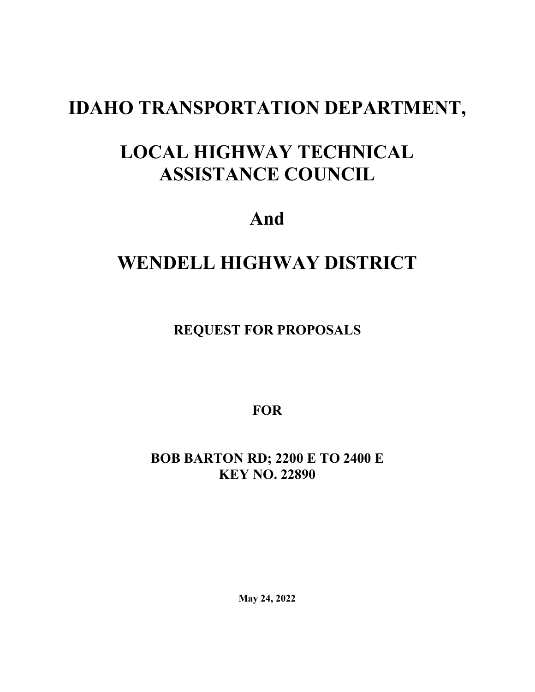# **IDAHO TRANSPORTATION DEPARTMENT,**

# **LOCAL HIGHWAY TECHNICAL ASSISTANCE COUNCIL**

**And**

## **WENDELL HIGHWAY DISTRICT**

**REQUEST FOR PROPOSALS**

**FOR**

**BOB BARTON RD; 2200 E TO 2400 E KEY NO. 22890**

**May 24, 2022**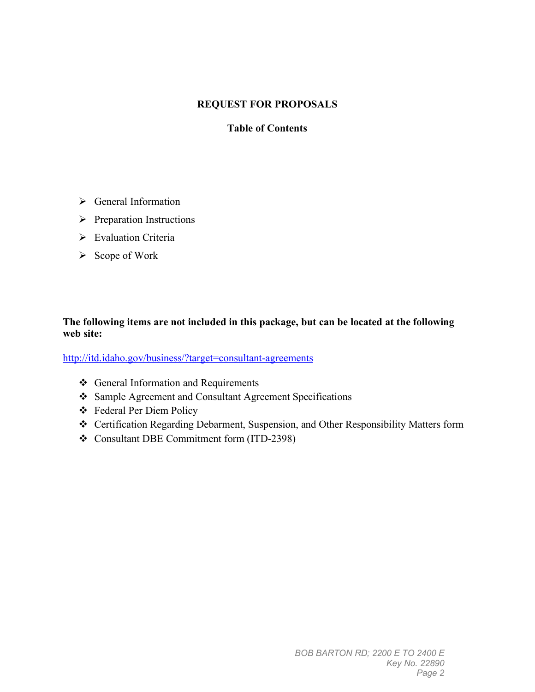## **REQUEST FOR PROPOSALS**

## **Table of Contents**

- General Information
- $\triangleright$  Preparation Instructions
- Evaluation Criteria
- $\triangleright$  Scope of Work

### **The following items are not included in this package, but can be located at the following web site:**

<http://itd.idaho.gov/business/?target=consultant-agreements>

- General Information and Requirements
- Sample Agreement and Consultant Agreement Specifications
- Federal Per Diem Policy
- Certification Regarding Debarment, Suspension, and Other Responsibility Matters form
- Consultant DBE Commitment form (ITD-2398)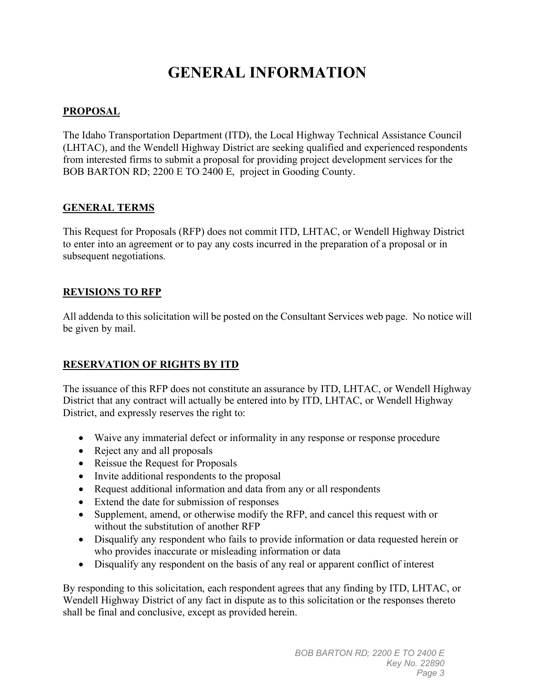## **GENERAL INFORMATION**

## **PROPOSAL**

The Idaho Transportation Department (ITD), the Local Highway Technical Assistance Council (LHTAC), and the Wendell Highway District are seeking qualified and experienced respondents from interested firms to submit a proposal for providing project development services for the BOB BARTON RD; 2200 E TO 2400 E, project in Gooding County.

### **GENERAL TERMS**

This Request for Proposals (RFP) does not commit ITD, LHTAC, or Wendell Highway District to enter into an agreement or to pay any costs incurred in the preparation of a proposal or in subsequent negotiations.

## **REVISIONS TO RFP**

All addenda to this solicitation will be posted on the Consultant Services web page. No notice will be given by mail.

## **RESERVATION OF RIGHTS BY ITD**

The issuance of this RFP does not constitute an assurance by ITD, LHTAC, or Wendell Highway District that any contract will actually be entered into by ITD, LHTAC, or Wendell Highway District, and expressly reserves the right to:

- Waive any immaterial defect or informality in any response or response procedure
- Reject any and all proposals
- Reissue the Request for Proposals
- Invite additional respondents to the proposal
- Request additional information and data from any or all respondents
- Extend the date for submission of responses
- Supplement, amend, or otherwise modify the RFP, and cancel this request with or without the substitution of another RFP
- Disqualify any respondent who fails to provide information or data requested herein or who provides inaccurate or misleading information or data
- Disqualify any respondent on the basis of any real or apparent conflict of interest

By responding to this solicitation, each respondent agrees that any finding by ITD, LHTAC, or Wendell Highway District of any fact in dispute as to this solicitation or the responses thereto shall be final and conclusive, except as provided herein.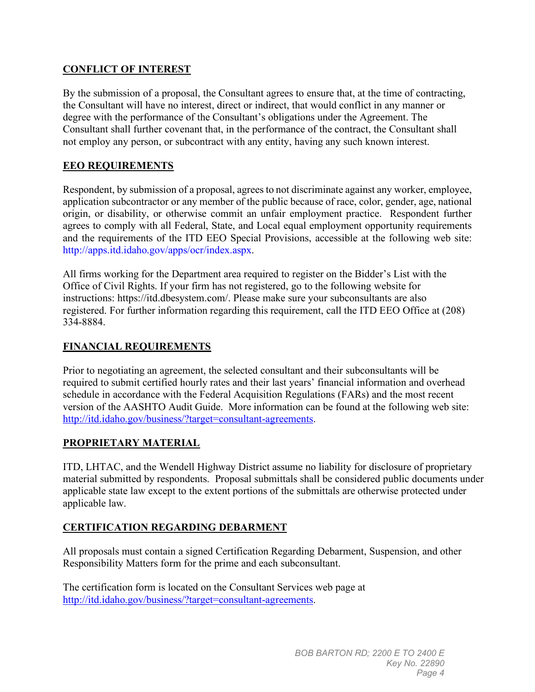## **CONFLICT OF INTEREST**

By the submission of a proposal, the Consultant agrees to ensure that, at the time of contracting, the Consultant will have no interest, direct or indirect, that would conflict in any manner or degree with the performance of the Consultant's obligations under the Agreement. The Consultant shall further covenant that, in the performance of the contract, the Consultant shall not employ any person, or subcontract with any entity, having any such known interest.

## **EEO REQUIREMENTS**

Respondent, by submission of a proposal, agrees to not discriminate against any worker, employee, application subcontractor or any member of the public because of race, color, gender, age, national origin, or disability, or otherwise commit an unfair employment practice. Respondent further agrees to comply with all Federal, State, and Local equal employment opportunity requirements and the requirements of the ITD EEO Special Provisions, accessible at the following web site: http://apps.itd.idaho.gov/apps/ocr/index.aspx.

All firms working for the Department area required to register on the Bidder's List with the Office of Civil Rights. If your firm has not registered, go to the following website for instructions: [https://itd.dbesystem.com/.](https://itd.dbesystem.com/) Please make sure your subconsultants are also registered. For further information regarding this requirement, call the ITD EEO Office at (208) 334-8884.

### **FINANCIAL REQUIREMENTS**

Prior to negotiating an agreement, the selected consultant and their subconsultants will be required to submit certified hourly rates and their last years' financial information and overhead schedule in accordance with the Federal Acquisition Regulations (FARs) and the most recent version of the AASHTO Audit Guide. More information can be found at the following web site: [http://itd.idaho.gov/business/?target=consultant-agreements.](http://itd.idaho.gov/business/?target=consultant-agreements)

### **PROPRIETARY MATERIAL**

ITD, LHTAC, and the Wendell Highway District assume no liability for disclosure of proprietary material submitted by respondents. Proposal submittals shall be considered public documents under applicable state law except to the extent portions of the submittals are otherwise protected under applicable law.

### **CERTIFICATION REGARDING DEBARMENT**

All proposals must contain a signed Certification Regarding Debarment, Suspension, and other Responsibility Matters form for the prime and each subconsultant.

The certification form is located on the Consultant Services web page at [http://itd.idaho.gov/business/?target=consultant-agreements.](http://itd.idaho.gov/business/?target=consultant-agreements)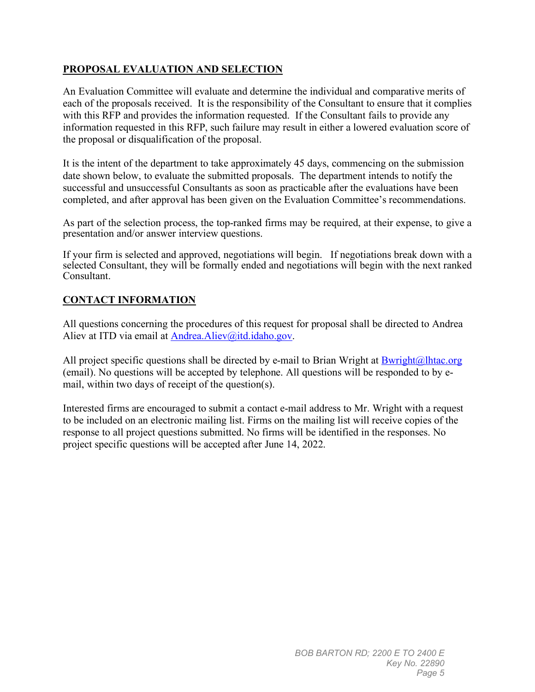## **PROPOSAL EVALUATION AND SELECTION**

An Evaluation Committee will evaluate and determine the individual and comparative merits of each of the proposals received. It is the responsibility of the Consultant to ensure that it complies with this RFP and provides the information requested. If the Consultant fails to provide any information requested in this RFP, such failure may result in either a lowered evaluation score of the proposal or disqualification of the proposal.

It is the intent of the department to take approximately 45 days, commencing on the submission date shown below, to evaluate the submitted proposals. The department intends to notify the successful and unsuccessful Consultants as soon as practicable after the evaluations have been completed, and after approval has been given on the Evaluation Committee's recommendations.

As part of the selection process, the top-ranked firms may be required, at their expense, to give a presentation and/or answer interview questions.

If your firm is selected and approved, negotiations will begin. If negotiations break down with a selected Consultant, they will be formally ended and negotiations will begin with the next ranked Consultant.

### **CONTACT INFORMATION**

All questions concerning the procedures of this request for proposal shall be directed to Andrea Aliev at ITD via email at [Andrea.Aliev@itd.idaho.gov.](mailto:Andrea.Aliev@itd.idaho.gov)

All project specific questions shall be directed by e-mail to Brian Wright at  $\frac{Bwright(a)$ lhtac.org (email). No questions will be accepted by telephone. All questions will be responded to by email, within two days of receipt of the question(s).

Interested firms are encouraged to submit a contact e-mail address to Mr. Wright with a request to be included on an electronic mailing list. Firms on the mailing list will receive copies of the response to all project questions submitted. No firms will be identified in the responses. No project specific questions will be accepted after June 14, 2022.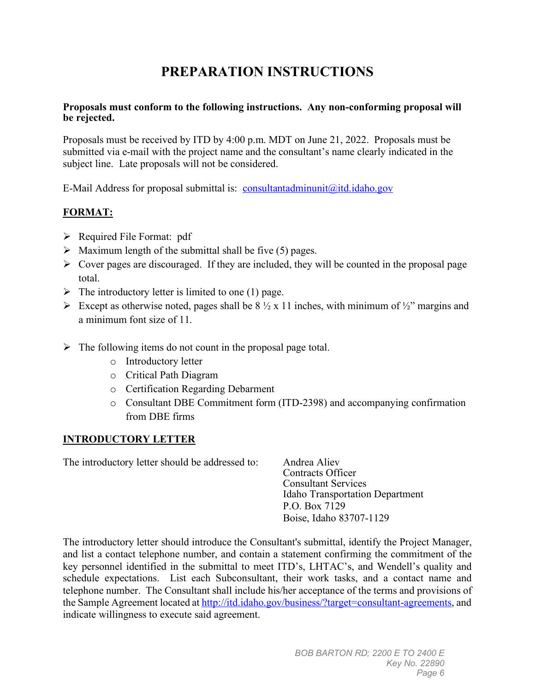## **PREPARATION INSTRUCTIONS**

#### **Proposals must conform to the following instructions. Any non-conforming proposal will be rejected.**

Proposals must be received by ITD by 4:00 p.m. MDT on June 21, 2022. Proposals must be submitted via e-mail with the project name and the consultant's name clearly indicated in the subject line. Late proposals will not be considered.

E-Mail Address for proposal submittal is: [consultantadminunit@itd.idaho.gov](mailto:consultantadminunit@itd.idaho.gov)

## **FORMAT:**

- $\triangleright$  Required File Format: pdf
- $\triangleright$  Maximum length of the submittal shall be five (5) pages.
- $\triangleright$  Cover pages are discouraged. If they are included, they will be counted in the proposal page total.
- $\triangleright$  The introductory letter is limited to one (1) page.
- Except as otherwise noted, pages shall be  $8\frac{1}{2} \times 11$  inches, with minimum of  $\frac{1}{2}$ " margins and a minimum font size of 11.
- $\triangleright$  The following items do not count in the proposal page total.
	- o Introductory letter
	- o Critical Path Diagram
	- o Certification Regarding Debarment
	- o Consultant DBE Commitment form (ITD-2398) and accompanying confirmation from DBE firms

## **INTRODUCTORY LETTER**

The introductory letter should be addressed to: Andrea Aliev

Contracts Officer Consultant Services Idaho Transportation Department P.O. Box 7129 Boise, Idaho 83707-1129

The introductory letter should introduce the Consultant's submittal, identify the Project Manager, and list a contact telephone number, and contain a statement confirming the commitment of the key personnel identified in the submittal to meet ITD's, LHTAC's, and Wendell's quality and schedule expectations. List each Subconsultant, their work tasks, and a contact name and telephone number. The Consultant shall include his/her acceptance of the terms and provisions of the Sample Agreement located a[t http://itd.idaho.gov/business/?target=consultant-agreements,](http://itd.idaho.gov/business/?target=consultant-agreements) and indicate willingness to execute said agreement.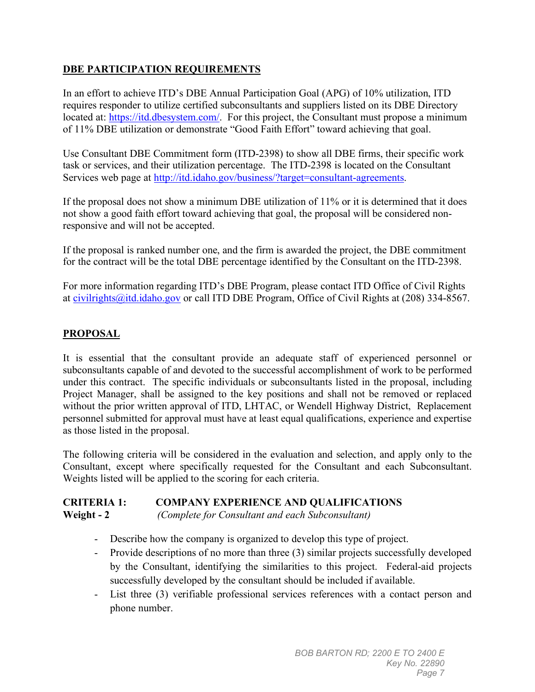## **DBE PARTICIPATION REQUIREMENTS**

In an effort to achieve ITD's DBE Annual Participation Goal (APG) of 10% utilization, ITD requires responder to utilize certified subconsultants and suppliers listed on its DBE Directory located at: [https://itd.dbesystem.com/.](https://itd.dbesystem.com/) For this project, the Consultant must propose a minimum of 11% DBE utilization or demonstrate "Good Faith Effort" toward achieving that goal.

Use Consultant DBE Commitment form (ITD-2398) to show all DBE firms, their specific work task or services, and their utilization percentage. The ITD-2398 is located on the Consultant Services web page at [http://itd.idaho.gov/business/?target=consultant-agreements.](http://itd.idaho.gov/business/?target=consultant-agreements)

If the proposal does not show a minimum DBE utilization of 11% or it is determined that it does not show a good faith effort toward achieving that goal, the proposal will be considered nonresponsive and will not be accepted.

If the proposal is ranked number one, and the firm is awarded the project, the DBE commitment for the contract will be the total DBE percentage identified by the Consultant on the ITD-2398.

For more information regarding ITD's DBE Program, please contact ITD Office of Civil Rights at [civilrights@itd.idaho.gov](mailto:civilrights@itd.idaho.gov) or call ITD DBE Program, Office of Civil Rights at (208) 334-8567.

## **PROPOSAL**

It is essential that the consultant provide an adequate staff of experienced personnel or subconsultants capable of and devoted to the successful accomplishment of work to be performed under this contract. The specific individuals or subconsultants listed in the proposal, including Project Manager, shall be assigned to the key positions and shall not be removed or replaced without the prior written approval of ITD, LHTAC, or Wendell Highway District, Replacement personnel submitted for approval must have at least equal qualifications, experience and expertise as those listed in the proposal.

The following criteria will be considered in the evaluation and selection, and apply only to the Consultant, except where specifically requested for the Consultant and each Subconsultant. Weights listed will be applied to the scoring for each criteria.

#### **CRITERIA 1: COMPANY EXPERIENCE AND QUALIFICATIONS Weight - 2** *(Complete for Consultant and each Subconsultant)*

- Describe how the company is organized to develop this type of project.
- Provide descriptions of no more than three (3) similar projects successfully developed by the Consultant, identifying the similarities to this project. Federal-aid projects successfully developed by the consultant should be included if available.
- List three (3) verifiable professional services references with a contact person and phone number.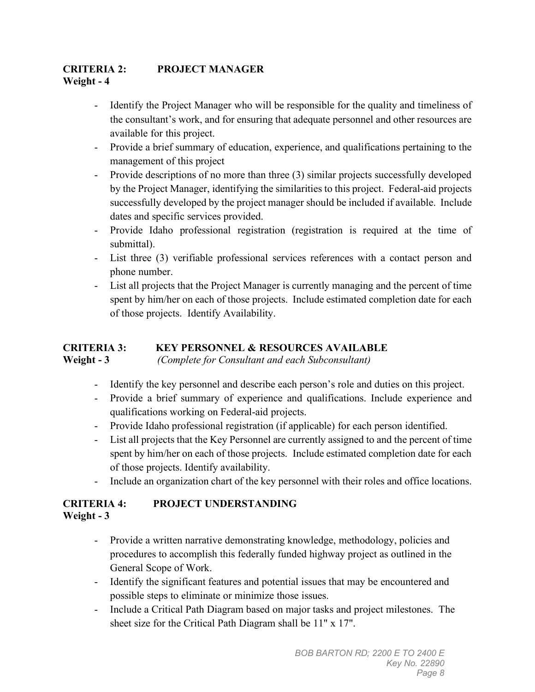## **CRITERIA 2: PROJECT MANAGER Weight - 4**

- Identify the Project Manager who will be responsible for the quality and timeliness of the consultant's work, and for ensuring that adequate personnel and other resources are available for this project.
- Provide a brief summary of education, experience, and qualifications pertaining to the management of this project
- Provide descriptions of no more than three (3) similar projects successfully developed by the Project Manager, identifying the similarities to this project. Federal-aid projects successfully developed by the project manager should be included if available. Include dates and specific services provided.
- Provide Idaho professional registration (registration is required at the time of submittal).
- List three (3) verifiable professional services references with a contact person and phone number.
- List all projects that the Project Manager is currently managing and the percent of time spent by him/her on each of those projects. Include estimated completion date for each of those projects. Identify Availability.

#### **CRITERIA 3: KEY PERSONNEL & RESOURCES AVAILABLE Weight - 3** *(Complete for Consultant and each Subconsultant)*

- Identify the key personnel and describe each person's role and duties on this project.
- Provide a brief summary of experience and qualifications. Include experience and qualifications working on Federal-aid projects.
- Provide Idaho professional registration (if applicable) for each person identified.
- List all projects that the Key Personnel are currently assigned to and the percent of time spent by him/her on each of those projects. Include estimated completion date for each of those projects. Identify availability.
- Include an organization chart of the key personnel with their roles and office locations.

## **CRITERIA 4: PROJECT UNDERSTANDING Weight - 3**

- Provide a written narrative demonstrating knowledge, methodology, policies and procedures to accomplish this federally funded highway project as outlined in the General Scope of Work.
- Identify the significant features and potential issues that may be encountered and possible steps to eliminate or minimize those issues.
- Include a Critical Path Diagram based on major tasks and project milestones. The sheet size for the Critical Path Diagram shall be 11" x 17".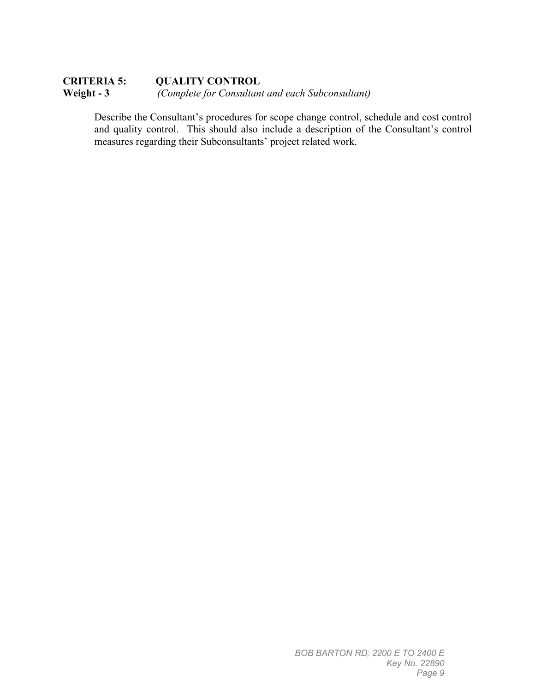### **CRITERIA 5: QUALITY CONTROL Weight - 3** *(Complete for Consultant and each Subconsultant)*

Describe the Consultant's procedures for scope change control, schedule and cost control and quality control. This should also include a description of the Consultant's control measures regarding their Subconsultants' project related work.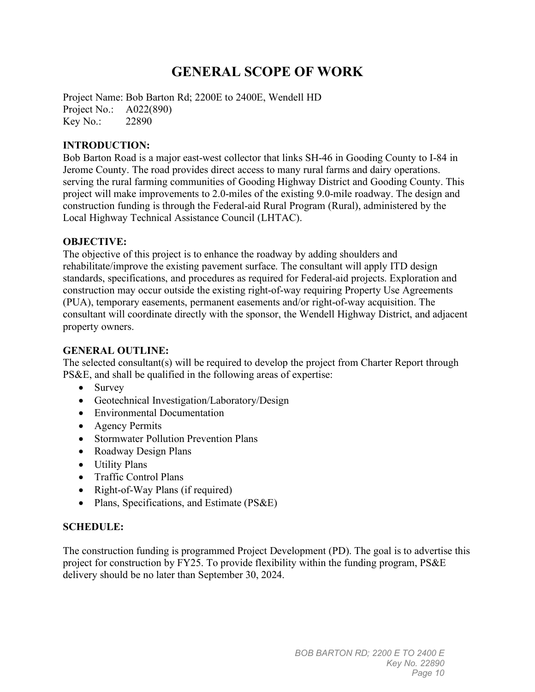## **GENERAL SCOPE OF WORK**

Project Name: Bob Barton Rd; 2200E to 2400E, Wendell HD Project No.: A022(890) Key No.: 22890

#### **INTRODUCTION:**

Bob Barton Road is a major east-west collector that links SH-46 in Gooding County to I-84 in Jerome County. The road provides direct access to many rural farms and dairy operations. serving the rural farming communities of Gooding Highway District and Gooding County. This project will make improvements to 2.0-miles of the existing 9.0-mile roadway. The design and construction funding is through the Federal-aid Rural Program (Rural), administered by the Local Highway Technical Assistance Council (LHTAC).

#### **OBJECTIVE:**

The objective of this project is to enhance the roadway by adding shoulders and rehabilitate/improve the existing pavement surface. The consultant will apply ITD design standards, specifications, and procedures as required for Federal-aid projects. Exploration and construction may occur outside the existing right-of-way requiring Property Use Agreements (PUA), temporary easements, permanent easements and/or right-of-way acquisition. The consultant will coordinate directly with the sponsor, the Wendell Highway District, and adjacent property owners.

#### **GENERAL OUTLINE:**

The selected consultant(s) will be required to develop the project from Charter Report through PS&E, and shall be qualified in the following areas of expertise:

- Survey
- Geotechnical Investigation/Laboratory/Design
- Environmental Documentation
- Agency Permits
- Stormwater Pollution Prevention Plans
- Roadway Design Plans
- Utility Plans
- Traffic Control Plans
- Right-of-Way Plans (if required)
- Plans, Specifications, and Estimate (PS&E)

#### **SCHEDULE:**

The construction funding is programmed Project Development (PD). The goal is to advertise this project for construction by FY25. To provide flexibility within the funding program, PS&E delivery should be no later than September 30, 2024.